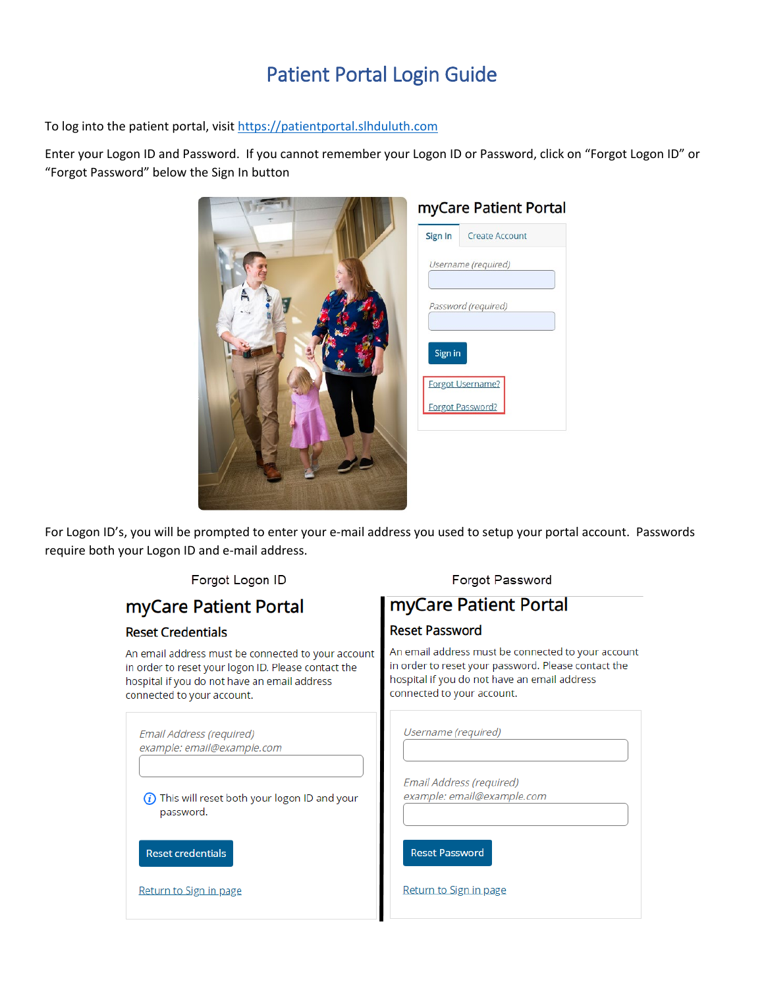## Patient Portal Login Guide

To log into the patient portal, visi[t https://patientportal.slhduluth.com](https://patientportal.slhduluth.com/)

Enter your Logon ID and Password. If you cannot remember your Logon ID or Password, click on "Forgot Logon ID" or "Forgot Password" below the Sign In button

|  | myCare Patient Portal |                       |
|--|-----------------------|-----------------------|
|  | Sign In               | <b>Create Account</b> |
|  | Username (required)   |                       |
|  | Password (required)   |                       |
|  | Sign in               | Forgot Username?      |
|  |                       | Forgot Password?      |
|  |                       |                       |

For Logon ID's, you will be prompted to enter your e-mail address you used to setup your portal account. Passwords require both your Logon ID and e-mail address.

| Forgot Logon ID                                                                                                                                                                         | Forgot Password                                                                                                                                                                         |
|-----------------------------------------------------------------------------------------------------------------------------------------------------------------------------------------|-----------------------------------------------------------------------------------------------------------------------------------------------------------------------------------------|
| myCare Patient Portal                                                                                                                                                                   | myCare Patient Portal                                                                                                                                                                   |
| <b>Reset Credentials</b>                                                                                                                                                                | <b>Reset Password</b>                                                                                                                                                                   |
| An email address must be connected to your account<br>in order to reset your logon ID. Please contact the<br>hospital if you do not have an email address<br>connected to your account. | An email address must be connected to your account<br>in order to reset your password. Please contact the<br>hospital if you do not have an email address<br>connected to your account. |
| Email Address (required)<br>example: email@example.com                                                                                                                                  | Username (required)                                                                                                                                                                     |
| This will reset both your logon ID and your<br>password.                                                                                                                                | Email Address (required)<br>example: email@example.com                                                                                                                                  |
| <b>Reset credentials</b>                                                                                                                                                                | <b>Reset Password</b>                                                                                                                                                                   |
| Return to Sign in page                                                                                                                                                                  | Return to Sign in page                                                                                                                                                                  |
|                                                                                                                                                                                         |                                                                                                                                                                                         |

Eorgot Logon ID

Enrant Password